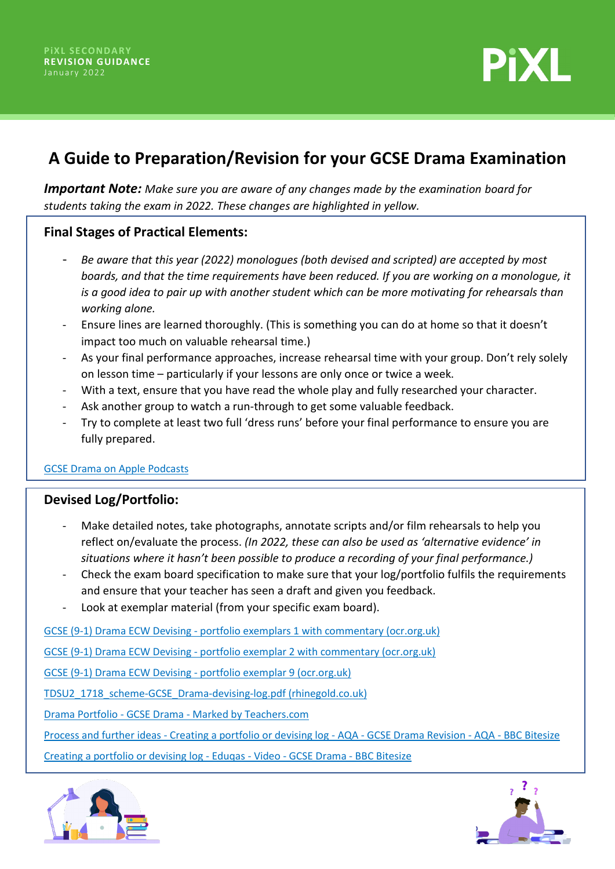

# **A Guide to Preparation/Revision for your GCSE Drama Examination**

*Important Note: Make sure you are aware of any changes made by the examination board for students taking the exam in 2022. These changes are highlighted in yellow.*

# **Final Stages of Practical Elements:**

- *Be aware that this year (2022) monologues (both devised and scripted) are accepted by most boards, and that the time requirements have been reduced. If you are working on a monologue, it is a good idea to pair up with another student which can be more motivating for rehearsals than working alone.*
- Ensure lines are learned thoroughly. (This is something you can do at home so that it doesn't impact too much on valuable rehearsal time.)
- As your final performance approaches, increase rehearsal time with your group. Don't rely solely on lesson time – particularly if your lessons are only once or twice a week.
- With a text, ensure that you have read the whole play and fully researched your character.
- Ask another group to watch a run-through to get some valuable feedback.
- Try to complete at least two full 'dress runs' before your final performance to ensure you are fully prepared.

#### [GCSE Drama on Apple Podcasts](https://podcasts.apple.com/na/podcast/gcse-drama/id1210098470)

# **Devised Log/Portfolio:**

- Make detailed notes, take photographs, annotate scripts and/or film rehearsals to help you reflect on/evaluate the process. *(In 2022, these can also be used as 'alternative evidence' in situations where it hasn't been possible to produce a recording of your final performance.)*
- Check the exam board specification to make sure that your log/portfolio fulfils the requirements and ensure that your teacher has seen a draft and given you feedback.
- Look at exemplar material (from your specific exam board).

[GCSE \(9-1\) Drama ECW Devising - portfolio exemplars 1 with commentary \(ocr.org.uk\)](https://www.ocr.org.uk/Images/340508-candidate-style-answers-devising-exemplar-1-with-commentary.pdf)

[GCSE \(9-1\) Drama ECW Devising - portfolio exemplar 2 with commentary \(ocr.org.uk\)](https://www.ocr.org.uk/Images/340509-candidate-style-answers-devising-exemplar-2-with-commentary.pdf)

[GCSE \(9-1\) Drama ECW Devising - portfolio exemplar 9 \(ocr.org.uk\)](https://www.ocr.org.uk/Images/340517-candidate-style-answers-devising-exemplar-9-with-commentary.pdf)

[TDSU2\\_1718\\_scheme-GCSE\\_Drama-devising-log.pdf \(rhinegold.co.uk\)](https://www.rhinegold.co.uk/wp-content/uploads/2015/10/TDSU2_1718_scheme-GCSE_Drama-devising-log.pdf)

[Drama Portfolio - GCSE Drama - Marked by Teachers.com](https://www.markedbyteachers.com/gcse/drama/drama-portfolio.html)

[Process and further ideas - Creating a portfolio or devising log - AQA - GCSE Drama Revision - AQA - BBC Bitesize](https://www.bbc.co.uk/bitesize/guides/zdqf6v4/revision/3)

[Creating a portfolio or devising log - Eduqas - Video - GCSE Drama - BBC Bitesize](https://www.bbc.co.uk/bitesize/guides/z48h7nb/video)



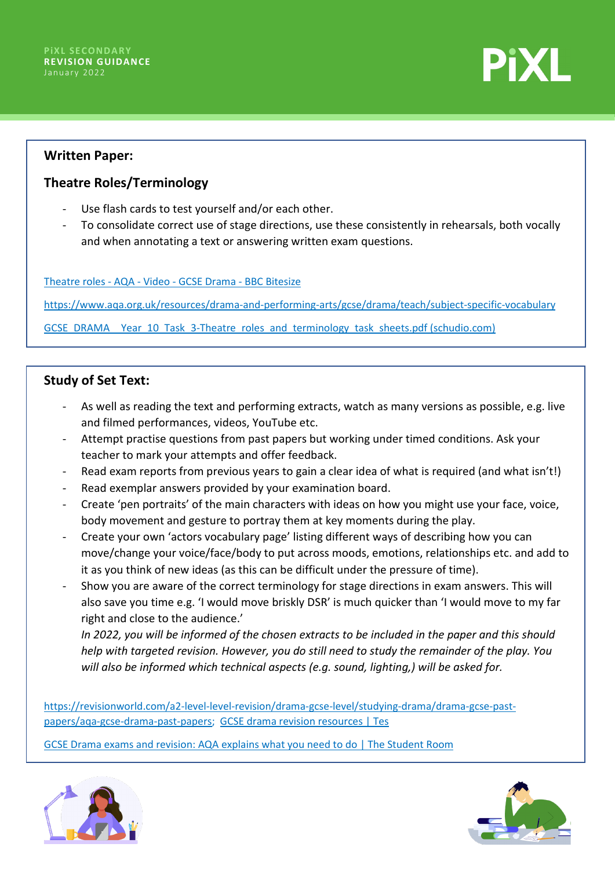**PiXL** 

### **Written Paper:**

# **Theatre Roles/Terminology**

- Use flash cards to test yourself and/or each other.
- To consolidate correct use of stage directions, use these consistently in rehearsals, both vocally and when annotating a text or answering written exam questions.

[Theatre roles - AQA - Video - GCSE Drama - BBC Bitesize](https://www.bbc.co.uk/bitesize/guides/zhx3pg8/video) 

<https://www.aqa.org.uk/resources/drama-and-performing-arts/gcse/drama/teach/subject-specific-vocabulary>

[GCSE\\_DRAMA\\_\\_Year\\_10\\_Task\\_3-Theatre\\_roles\\_and\\_terminology\\_task\\_sheets.pdf \(schudio.com\)](https://files.schudio.com/durhamjohnston/files/documents/GCSE_DRAMA__Year_10_Task_3-Theatre_roles_and_terminology_task_sheets.pdf)

# **Study of Set Text:**

- As well as reading the text and performing extracts, watch as many versions as possible, e.g. live and filmed performances, videos, YouTube etc.
- Attempt practise questions from past papers but working under timed conditions. Ask your teacher to mark your attempts and offer feedback.
- Read exam reports from previous years to gain a clear idea of what is required (and what isn't!)
- Read exemplar answers provided by your examination board.
- Create 'pen portraits' of the main characters with ideas on how you might use your face, voice, body movement and gesture to portray them at key moments during the play.
- Create your own 'actors vocabulary page' listing different ways of describing how you can move/change your voice/face/body to put across moods, emotions, relationships etc. and add to it as you think of new ideas (as this can be difficult under the pressure of time).
- Show you are aware of the correct terminology for stage directions in exam answers. This will also save you time e.g. 'I would move briskly DSR' is much quicker than 'I would move to my far right and close to the audience.'

*In 2022, you will be informed of the chosen extracts to be included in the paper and this should help with targeted revision. However, you do still need to study the remainder of the play. You will also be informed which technical aspects (e.g. sound, lighting,) will be asked for.*

[https://revisionworld.com/a2-level-level-revision/drama-gcse-level/studying-drama/drama-gcse-past](https://revisionworld.com/a2-level-level-revision/drama-gcse-level/studying-drama/drama-gcse-past-papers/aqa-gcse-drama-past-papers)[papers/aqa-gcse-drama-past-papers;](https://revisionworld.com/a2-level-level-revision/drama-gcse-level/studying-drama/drama-gcse-past-papers/aqa-gcse-drama-past-papers) [GCSE drama revision resources | Tes](https://www.tes.com/teaching-resources/gcse-exam-revision/drama)

[GCSE Drama exams and revision: AQA explains what you need to do | The Student Room](https://www.thestudentroom.co.uk/revision/aqa/gcse-drama-exams-and-revision-aqa-explains-what-you-need-to-do)